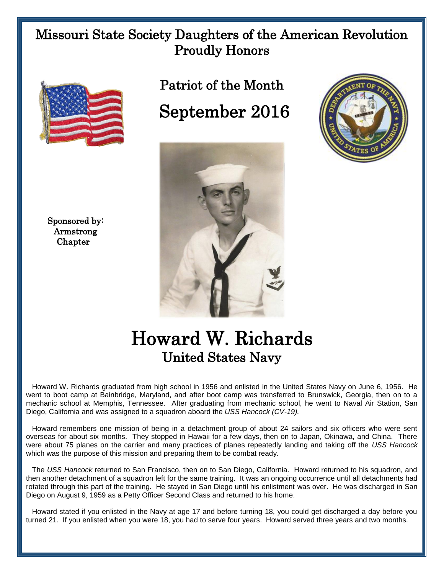## Missouri State Society Daughters of the American Revolution Proudly Honors



 Sponsored by: Armstrong Chapter

Patriot of the Month September 2016





## Howard W. Richards United States Navy

 Howard W. Richards graduated from high school in 1956 and enlisted in the United States Navy on June 6, 1956. He went to boot camp at Bainbridge, Maryland, and after boot camp was transferred to Brunswick, Georgia, then on to a mechanic school at Memphis, Tennessee. After graduating from mechanic school, he went to Naval Air Station, San Diego, California and was assigned to a squadron aboard the *USS Hancock (CV-19).* 

 Howard remembers one mission of being in a detachment group of about 24 sailors and six officers who were sent overseas for about six months. They stopped in Hawaii for a few days, then on to Japan, Okinawa, and China. There were about 75 planes on the carrier and many practices of planes repeatedly landing and taking off the *USS Hancock*  which was the purpose of this mission and preparing them to be combat ready.

 The *USS Hancock* returned to San Francisco, then on to San Diego, California. Howard returned to his squadron, and then another detachment of a squadron left for the same training. It was an ongoing occurrence until all detachments had rotated through this part of the training. He stayed in San Diego until his enlistment was over. He was discharged in San Diego on August 9, 1959 as a Petty Officer Second Class and returned to his home.

 Howard stated if you enlisted in the Navy at age 17 and before turning 18, you could get discharged a day before you turned 21. If you enlisted when you were 18, you had to serve four years. Howard served three years and two months.